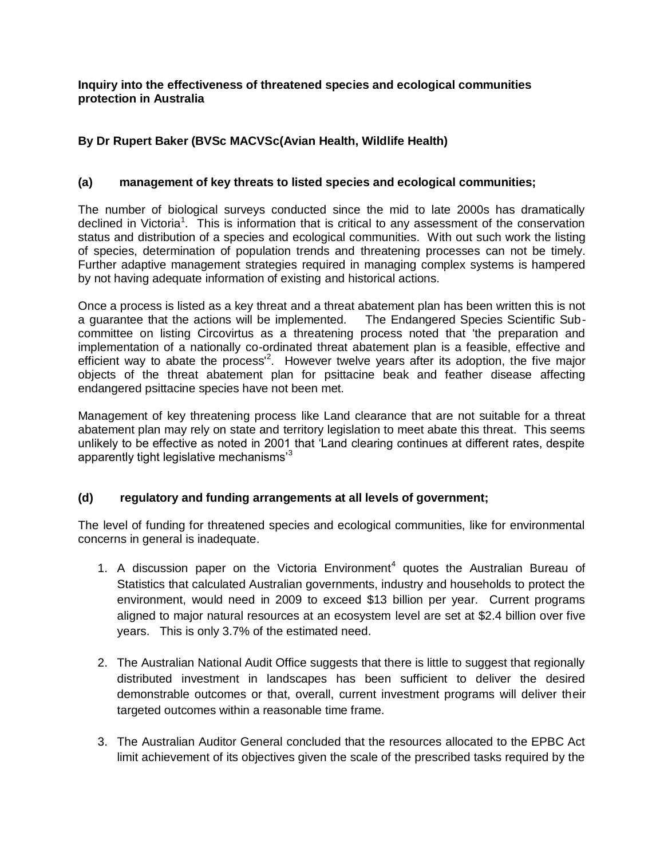**Inquiry into the effectiveness of threatened species and ecological communities protection in Australia**

## **By Dr Rupert Baker (BVSc MACVSc(Avian Health, Wildlife Health)**

## **(a) management of key threats to listed species and ecological communities;**

The number of biological surveys conducted since the mid to late 2000s has dramatically declined in Victoria<sup>1</sup>. This is information that is critical to any assessment of the conservation status and distribution of a species and ecological communities. With out such work the listing of species, determination of population trends and threatening processes can not be timely. Further adaptive management strategies required in managing complex systems is hampered by not having adequate information of existing and historical actions.

Once a process is listed as a key threat and a threat abatement plan has been written this is not a guarantee that the actions will be implemented. The Endangered Species Scientific Subcommittee on listing Circovirtus as a threatening process noted that 'the preparation and implementation of a nationally co-ordinated threat abatement plan is a feasible, effective and efficient way to abate the process<sup>12</sup>. However twelve years after its adoption, the five major objects of the threat abatement plan for psittacine beak and feather disease affecting endangered psittacine species have not been met.

Management of key threatening process like Land clearance that are not suitable for a threat abatement plan may rely on state and territory legislation to meet abate this threat. This seems unlikely to be effective as noted in 2001 that 'Land clearing continues at different rates, despite apparently tight legislative mechanisms'<sup>3</sup>

## **(d) regulatory and funding arrangements at all levels of government;**

The level of funding for threatened species and ecological communities, like for environmental concerns in general is inadequate.

- 1. A discussion paper on the Victoria Environment<sup>4</sup> quotes the Australian Bureau of Statistics that calculated Australian governments, industry and households to protect the environment, would need in 2009 to exceed \$13 billion per year. Current programs aligned to major natural resources at an ecosystem level are set at \$2.4 billion over five years. This is only 3.7% of the estimated need.
- 2. The Australian National Audit Office suggests that there is little to suggest that regionally distributed investment in landscapes has been sufficient to deliver the desired demonstrable outcomes or that, overall, current investment programs will deliver their targeted outcomes within a reasonable time frame.
- 3. The Australian Auditor General concluded that the resources allocated to the EPBC Act limit achievement of its objectives given the scale of the prescribed tasks required by the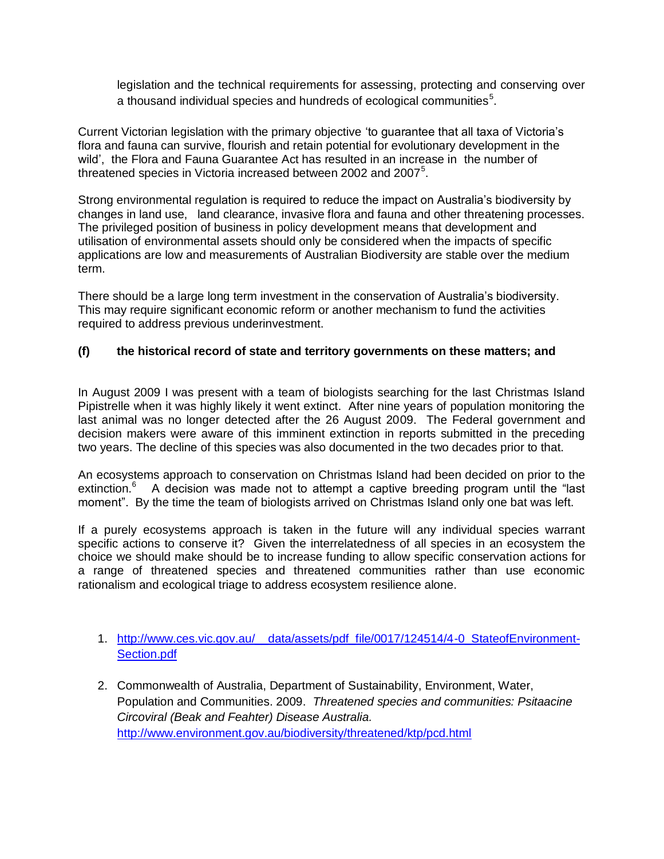legislation and the technical requirements for assessing, protecting and conserving over a thousand individual species and hundreds of ecological communities<sup>5</sup>.

Current Victorian legislation with the primary objective 'to guarantee that all taxa of Victoria's flora and fauna can survive, flourish and retain potential for evolutionary development in the wild', the Flora and Fauna Guarantee Act has resulted in an increase in the number of threatened species in Victoria increased between 2002 and 2007<sup>5</sup>.

Strong environmental regulation is required to reduce the impact on Australia's biodiversity by changes in land use, land clearance, invasive flora and fauna and other threatening processes. The privileged position of business in policy development means that development and utilisation of environmental assets should only be considered when the impacts of specific applications are low and measurements of Australian Biodiversity are stable over the medium term.

There should be a large long term investment in the conservation of Australia's biodiversity. This may require significant economic reform or another mechanism to fund the activities required to address previous underinvestment.

## **(f) the historical record of state and territory governments on these matters; and**

In August 2009 I was present with a team of biologists searching for the last Christmas Island Pipistrelle when it was highly likely it went extinct. After nine years of population monitoring the last animal was no longer detected after the 26 August 2009. The Federal government and decision makers were aware of this imminent extinction in reports submitted in the preceding two years. The decline of this species was also documented in the two decades prior to that.

An ecosystems approach to conservation on Christmas Island had been decided on prior to the extinction.<sup>6</sup> A decision was made not to attempt a captive breeding program until the "last moment". By the time the team of biologists arrived on Christmas Island only one bat was left.

If a purely ecosystems approach is taken in the future will any individual species warrant specific actions to conserve it? Given the interrelatedness of all species in an ecosystem the choice we should make should be to increase funding to allow specific conservation actions for a range of threatened species and threatened communities rather than use economic rationalism and ecological triage to address ecosystem resilience alone.

- 1. [http://www.ces.vic.gov.au/\\_\\_data/assets/pdf\\_file/0017/124514/4-0\\_StateofEnvironment-](http://www.ces.vic.gov.au/__data/assets/pdf_file/0017/124514/4-0_StateofEnvironment-Section.pdf)[Section.pdf](http://www.ces.vic.gov.au/__data/assets/pdf_file/0017/124514/4-0_StateofEnvironment-Section.pdf)
- 2. Commonwealth of Australia, Department of Sustainability, Environment, Water, Population and Communities. 2009. *Threatened species and communities: Psitaacine Circoviral (Beak and Feahter) Disease Australia.*  <http://www.environment.gov.au/biodiversity/threatened/ktp/pcd.html>